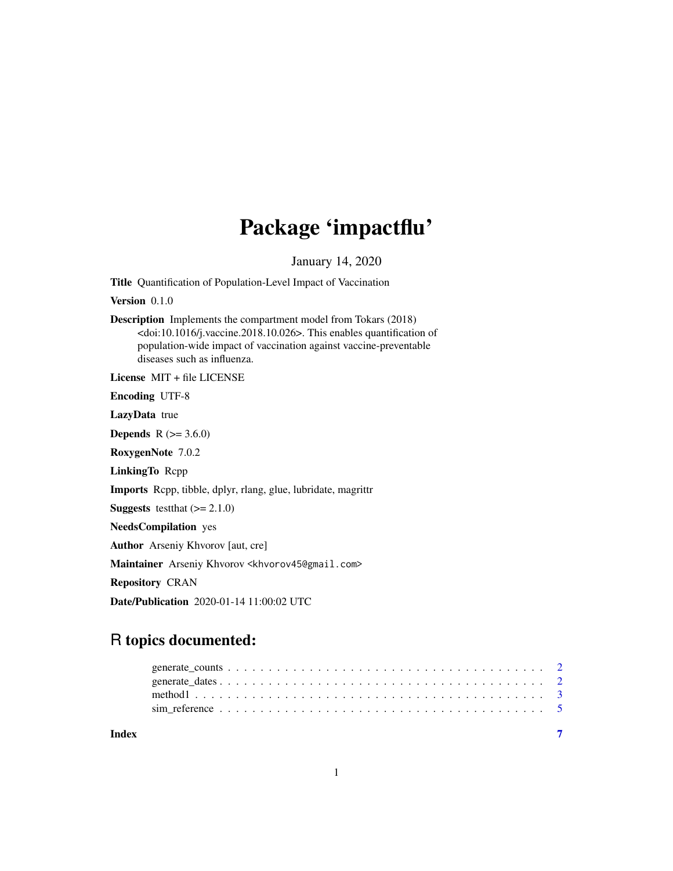## Package 'impactflu'

January 14, 2020

<span id="page-0-0"></span>Title Quantification of Population-Level Impact of Vaccination

Version 0.1.0

Description Implements the compartment model from Tokars (2018) <doi:10.1016/j.vaccine.2018.10.026>. This enables quantification of population-wide impact of vaccination against vaccine-preventable diseases such as influenza.

License MIT + file LICENSE

Encoding UTF-8

LazyData true

**Depends** R  $(>= 3.6.0)$ 

RoxygenNote 7.0.2

LinkingTo Rcpp

Imports Rcpp, tibble, dplyr, rlang, glue, lubridate, magrittr

**Suggests** test that  $(>= 2.1.0)$ 

NeedsCompilation yes

Author Arseniy Khvorov [aut, cre]

Maintainer Arseniy Khvorov <khvorov45@gmail.com>

Repository CRAN

Date/Publication 2020-01-14 11:00:02 UTC

### R topics documented:

| Index |  |  |  |  |  |  |  |  |  |  |  |  |  |  |  |  |
|-------|--|--|--|--|--|--|--|--|--|--|--|--|--|--|--|--|
|       |  |  |  |  |  |  |  |  |  |  |  |  |  |  |  |  |
|       |  |  |  |  |  |  |  |  |  |  |  |  |  |  |  |  |
|       |  |  |  |  |  |  |  |  |  |  |  |  |  |  |  |  |
|       |  |  |  |  |  |  |  |  |  |  |  |  |  |  |  |  |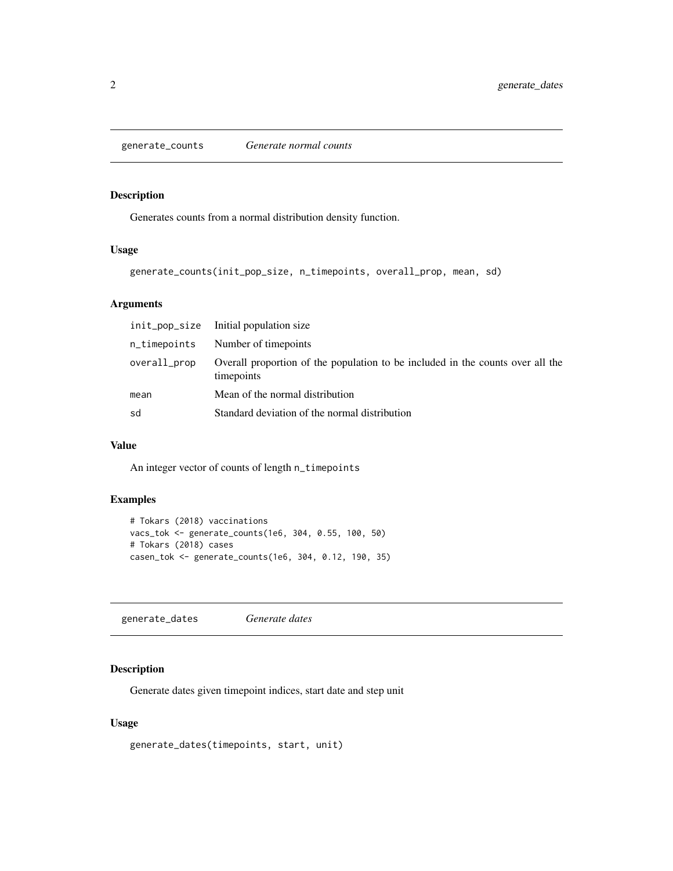<span id="page-1-0"></span>generate\_counts *Generate normal counts*

#### Description

Generates counts from a normal distribution density function.

#### Usage

```
generate_counts(init_pop_size, n_timepoints, overall_prop, mean, sd)
```
#### Arguments

|              | init_pop_size Initial population size                                                        |
|--------------|----------------------------------------------------------------------------------------------|
| n_timepoints | Number of timepoints                                                                         |
| overall_prop | Overall proportion of the population to be included in the counts over all the<br>timepoints |
| mean         | Mean of the normal distribution                                                              |
| sd           | Standard deviation of the normal distribution                                                |

#### Value

An integer vector of counts of length n\_timepoints

#### Examples

```
# Tokars (2018) vaccinations
vacs_tok <- generate_counts(1e6, 304, 0.55, 100, 50)
# Tokars (2018) cases
casen_tok <- generate_counts(1e6, 304, 0.12, 190, 35)
```
generate\_dates *Generate dates*

#### Description

Generate dates given timepoint indices, start date and step unit

#### Usage

```
generate_dates(timepoints, start, unit)
```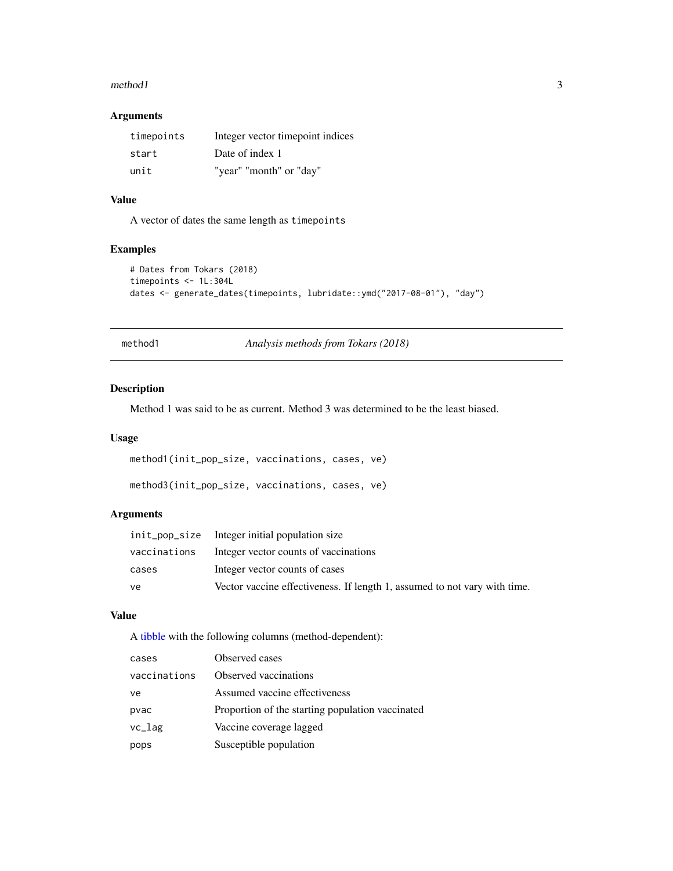#### <span id="page-2-0"></span> $method1$  3

#### Arguments

| timepoints | Integer vector timepoint indices |
|------------|----------------------------------|
| start      | Date of index 1                  |
| unit       | "year" "month" or "day"          |

#### Value

A vector of dates the same length as timepoints

#### Examples

```
# Dates from Tokars (2018)
timepoints <- 1L:304L
dates <- generate_dates(timepoints, lubridate::ymd("2017-08-01"), "day")
```
method1 *Analysis methods from Tokars (2018)*

#### Description

Method 1 was said to be as current. Method 3 was determined to be the least biased.

#### Usage

method1(init\_pop\_size, vaccinations, cases, ve)

```
method3(init_pop_size, vaccinations, cases, ve)
```
#### Arguments

|              | init_pop_size Integer initial population size                             |
|--------------|---------------------------------------------------------------------------|
| vaccinations | Integer vector counts of vaccinations                                     |
| cases        | Integer vector counts of cases                                            |
| ve           | Vector vaccine effectiveness. If length 1, assumed to not vary with time. |

#### Value

A [tibble](#page-0-0) with the following columns (method-dependent):

| cases        | Observed cases                                   |
|--------------|--------------------------------------------------|
| vaccinations | Observed vaccinations                            |
| ve           | Assumed vaccine effectiveness                    |
| pvac         | Proportion of the starting population vaccinated |
| $vc_l$ ag    | Vaccine coverage lagged                          |
| pops         | Susceptible population                           |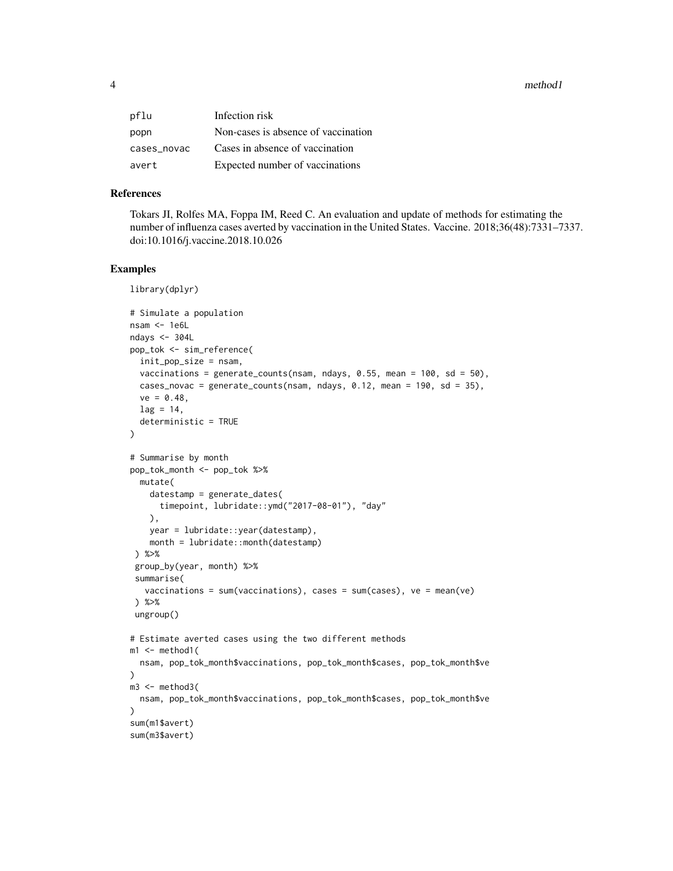4 method<sup>1</sup>

| pflu        | Infection risk                      |
|-------------|-------------------------------------|
| popn        | Non-cases is absence of vaccination |
| cases_novac | Cases in absence of vaccination     |
| avert       | Expected number of vaccinations     |

#### References

Tokars JI, Rolfes MA, Foppa IM, Reed C. An evaluation and update of methods for estimating the number of influenza cases averted by vaccination in the United States. Vaccine. 2018;36(48):7331–7337. doi:10.1016/j.vaccine.2018.10.026

#### Examples

```
library(dplyr)
# Simulate a population
nsam <- 1e6L
ndays <- 304L
pop_tok <- sim_reference(
  init_pop_size = nsam,
  vaccinations = generate_counts(nsam, ndays, 0.55, mean = 100, sd = 50),
  cases_novac = generate_counts(nsam, ndays, 0.12, mean = 190, sd = 35),
  ve = 0.48,
  lag = 14,
  deterministic = TRUE
)
# Summarise by month
pop_tok_month <- pop_tok %>%
  mutate(
    datestamp = generate_dates(
      timepoint, lubridate::ymd("2017-08-01"), "day"
   ),
   year = lubridate::year(datestamp),
    month = lubridate::month(datestamp)
 ) %>%
 group_by(year, month) %>%
 summarise(
   vaccinations = sum(vaccinations), cases = sum(cases), ve = mean(ve)
 ) %>%
 ungroup()
# Estimate averted cases using the two different methods
m1 <- method1(
 nsam, pop_tok_month$vaccinations, pop_tok_month$cases, pop_tok_month$ve
)
m3 < - method3(
  nsam, pop_tok_month$vaccinations, pop_tok_month$cases, pop_tok_month$ve
\mathcal{L}sum(m1$avert)
sum(m3$avert)
```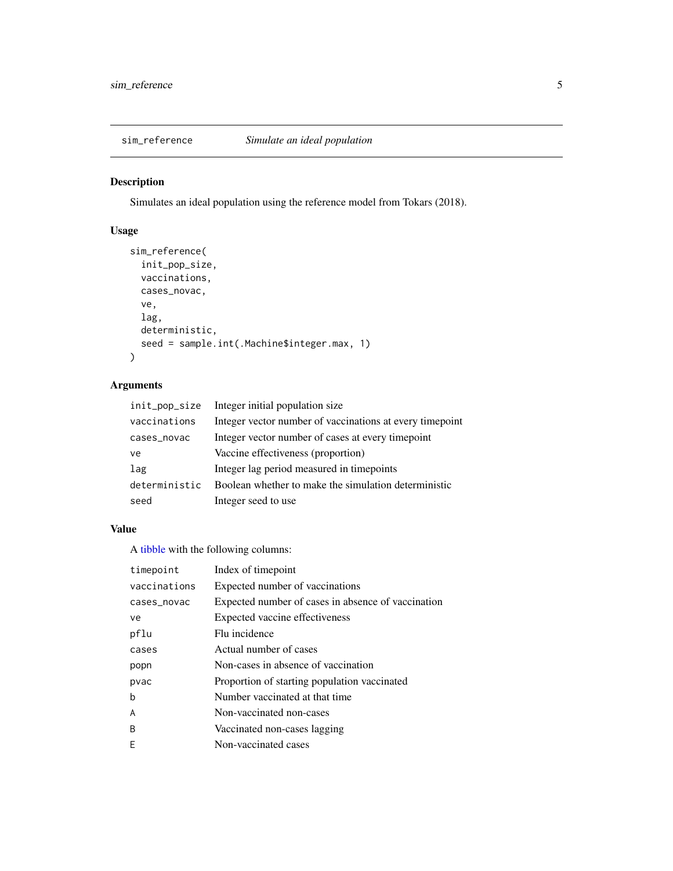<span id="page-4-0"></span>

#### Description

Simulates an ideal population using the reference model from Tokars (2018).

#### Usage

```
sim_reference(
  init_pop_size,
 vaccinations,
 cases_novac,
 ve,
 lag,
 deterministic,
  seed = sample.int(.Machine$integer.max, 1)
)
```
#### Arguments

| init_pop_size | Integer initial population size                           |
|---------------|-----------------------------------------------------------|
| vaccinations  | Integer vector number of vaccinations at every time point |
| cases_novac   | Integer vector number of cases at every time point        |
| ve            | Vaccine effectiveness (proportion)                        |
| lag           | Integer lag period measured in timepoints                 |
| deterministic | Boolean whether to make the simulation deterministic      |
| seed          | Integer seed to use                                       |

#### Value

A [tibble](#page-0-0) with the following columns:

| timepoint    | Index of timepoint                                 |
|--------------|----------------------------------------------------|
| vaccinations | Expected number of vaccinations                    |
| cases_novac  | Expected number of cases in absence of vaccination |
| ve           | Expected vaccine effectiveness                     |
| pflu         | Flu incidence                                      |
| cases        | Actual number of cases                             |
| popn         | Non-cases in absence of vaccination                |
| pvac         | Proportion of starting population vaccinated       |
| b            | Number vaccinated at that time                     |
| A            | Non-vaccinated non-cases                           |
| <sub>B</sub> | Vaccinated non-cases lagging                       |
| F            | Non-vaccinated cases                               |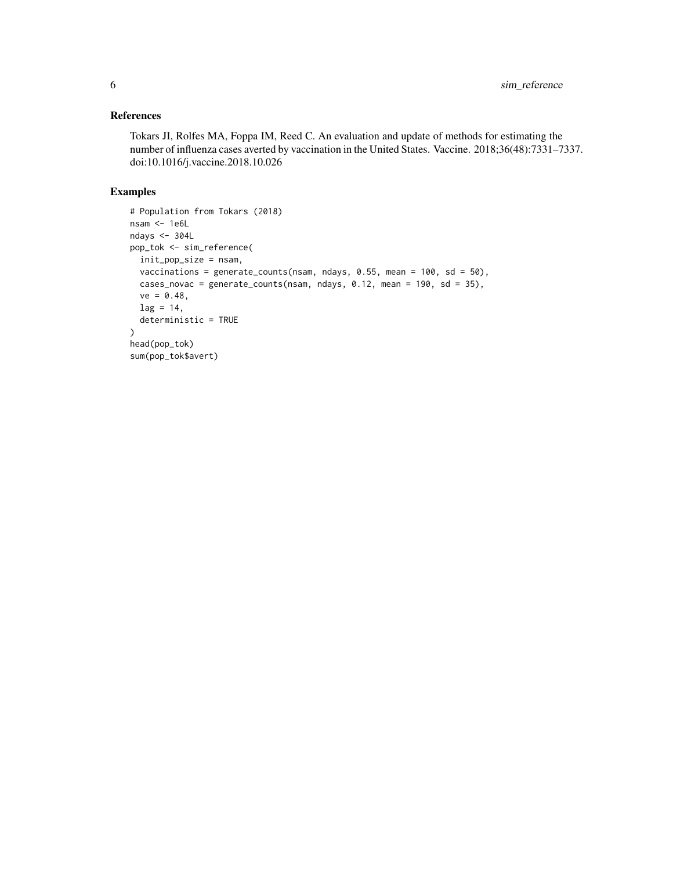#### References

Tokars JI, Rolfes MA, Foppa IM, Reed C. An evaluation and update of methods for estimating the number of influenza cases averted by vaccination in the United States. Vaccine. 2018;36(48):7331–7337. doi:10.1016/j.vaccine.2018.10.026

#### Examples

```
# Population from Tokars (2018)
nsam <- 1e6L
ndays <- 304L
pop_tok <- sim_reference(
  init_pop_size = nsam,
  vaccinations = generate_counts(nsam, ndays, 0.55, mean = 100, sd = 50),
  cases_novac = generate_counts(nsam, ndays, 0.12, mean = 190, sd = 35),
  ve = 0.48,
  lag = 14,deterministic = TRUE
\mathcal{L}head(pop_tok)
sum(pop_tok$avert)
```